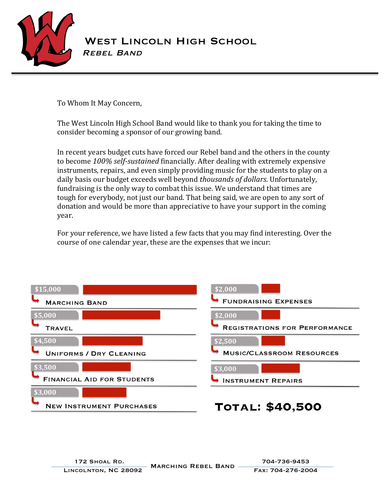

## WEST LINCOLN HIGH SCHOOL<br>REBEL BAND

To Whom It May Concern,

The West Lincoln High School Band would like to thank you for taking the time to consider becoming a sponsor of our growing band.

In recent years budget cuts have forced our Rebel band and the others in the county to become 100% self-sustained financially. After dealing with extremely expensive instruments, repairs, and even simply providing music for the students to play on a daily basis our budget exceeds well beyond *thousands of dollars*. Unfortunately, fundraising is the only way to combat this issue. We understand that times are tough for everybody, not just our band. That being said, we are open to any sort of donation and would be more than appreciative to have your support in the coming year.

For your reference, we have listed a few facts that you may find interesting. Over the course of one calendar year, these are the expenses that we incur: